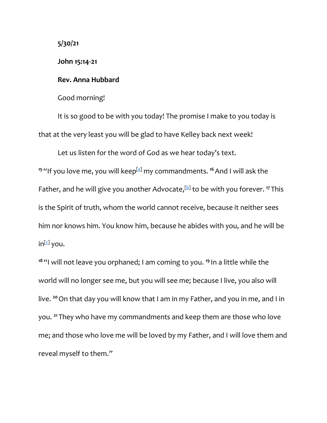**5/30/21**

**John 15:14-21**

## **Rev. Anna Hubbard**

Good morning!

It is so good to be with you today! The promise I make to you today is that at the very least you will be glad to have Kelley back next week!

Let us listen for the word of God as we hear today's text. <sup>15</sup> "If you love me, you will keep<sup>[\[a\]](https://www.biblegateway.com/passage/?search=John+14%3A15-21&version=NRSV#fen-NRSV-26673a)</sup> my commandments. <sup>16</sup> And I will ask the Father, and he will give you another Advocate,[\[b\]](https://www.biblegateway.com/passage/?search=John+14%3A15-21&version=NRSV#fen-NRSV-26674b) to be with you forever. **<sup>17</sup>** This is the Spirit of truth, whom the world cannot receive, because it neither sees him nor knows him. You know him, because he abides with you, and he will be in<sup>[\[c\]](https://www.biblegateway.com/passage/?search=John+14%3A15-21&version=NRSV#fen-NRSV-26675c)</sup> you.

**<sup>18</sup>** "I will not leave you orphaned; I am coming to you. **<sup>19</sup>** In a little while the world will no longer see me, but you will see me; because I live, you also will live. **<sup>20</sup>**On that day you will know that I am in my Father, and you in me, and I in you. **<sup>21</sup>** They who have my commandments and keep them are those who love me; and those who love me will be loved by my Father, and I will love them and reveal myself to them."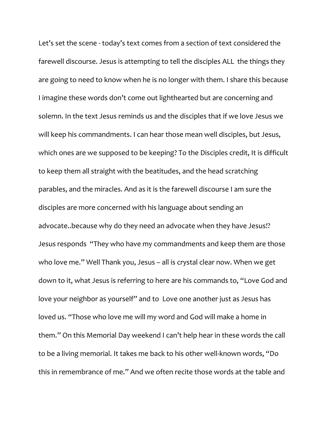Let's set the scene - today's text comes from a section of text considered the farewell discourse. Jesus is attempting to tell the disciples ALL the things they are going to need to know when he is no longer with them. I share this because I imagine these words don't come out lighthearted but are concerning and solemn. In the text Jesus reminds us and the disciples that if we love Jesus we will keep his commandments. I can hear those mean well disciples, but Jesus, which ones are we supposed to be keeping? To the Disciples credit, It is difficult to keep them all straight with the beatitudes, and the head scratching parables, and the miracles. And as it is the farewell discourse I am sure the disciples are more concerned with his language about sending an advocate..because why do they need an advocate when they have Jesus!? Jesus responds "They who have my commandments and keep them are those who love me." Well Thank you, Jesus – all is crystal clear now. When we get down to it, what Jesus is referring to here are his commands to, "Love God and love your neighbor as yourself" and to Love one another just as Jesus has loved us. "Those who love me will my word and God will make a home in them." On this Memorial Day weekend I can't help hear in these words the call to be a living memorial. It takes me back to his other well-known words, "Do this in remembrance of me." And we often recite those words at the table and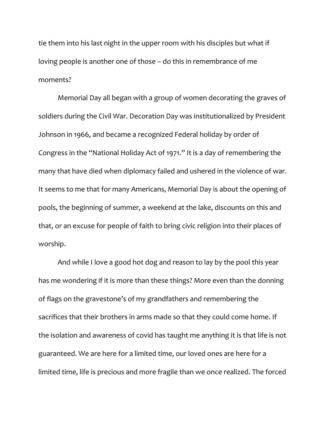tie them into his last night in the upper room with his disciples but what if loving people is another one of those – do this in remembrance of me moments?

Memorial Day all began with a group of women decorating the graves of soldiers during the Civil War. Decoration Day was institutionalized by President Johnson in 1966, and became a recognized Federal holiday by order of Congress in the "National Holiday Act of 1971." It is a day of remembering the many that have died when diplomacy failed and ushered in the violence of war. It seems to me that for many Americans, Memorial Day is about the opening of pools, the beginning of summer, a weekend at the lake, discounts on this and that, or an excuse for people of faith to bring civic religion into their places of worship.

And while I love a good hot dog and reason to lay by the pool this year has me wondering if it is more than these things? More even than the donning of flags on the gravestone's of my grandfathers and remembering the sacrifices that their brothers in arms made so that they could come home. If the isolation and awareness of covid has taught me anything it is that life is not guaranteed. We are here for a limited time, our loved ones are here for a limited time, life is precious and more fragile than we once realized. The forced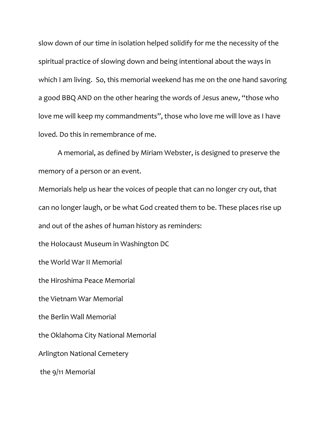slow down of our time in isolation helped solidify for me the necessity of the spiritual practice of slowing down and being intentional about the ways in which I am living. So, this memorial weekend has me on the one hand savoring a good BBQ AND on the other hearing the words of Jesus anew, "those who love me will keep my commandments", those who love me will love as I have loved. Do this in remembrance of me.

A memorial, as defined by Miriam Webster, is designed to preserve the memory of a person or an event.

Memorials help us hear the voices of people that can no longer cry out, that can no longer laugh, or be what God created them to be. These places rise up and out of the ashes of human history as reminders:

the Holocaust Museum in Washington DC

the World War II Memorial

the Hiroshima Peace Memorial

the Vietnam War Memorial

the Berlin Wall Memorial

the Oklahoma City National Memorial

Arlington National Cemetery

the 9/11 Memorial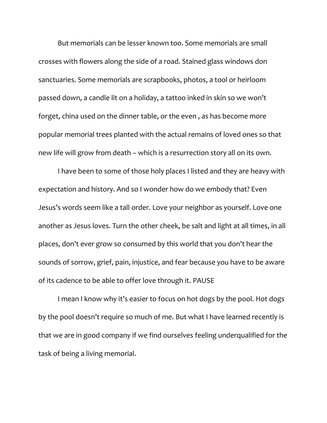But memorials can be lesser known too. Some memorials are small crosses with flowers along the side of a road. Stained glass windows don sanctuaries. Some memorials are scrapbooks, photos, a tool or heirloom passed down, a candle lit on a holiday, a tattoo inked in skin so we won't forget, china used on the dinner table, or the even , as has become more popular memorial trees planted with the actual remains of loved ones so that new life will grow from death – which is a resurrection story all on its own.

I have been to some of those holy places I listed and they are heavy with expectation and history. And so I wonder how do we embody that? Even Jesus's words seem like a tall order. Love your neighbor as yourself. Love one another as Jesus loves. Turn the other cheek, be salt and light at all times, in all places, don't ever grow so consumed by this world that you don't hear the sounds of sorrow, grief, pain, injustice, and fear because you have to be aware of its cadence to be able to offer love through it. PAUSE

I mean I know why it's easier to focus on hot dogs by the pool. Hot dogs by the pool doesn't require so much of me. But what I have learned recently is that we are in good company if we find ourselves feeling underqualified for the task of being a living memorial.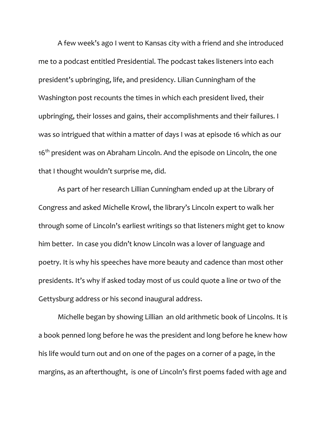A few week's ago I went to Kansas city with a friend and she introduced me to a podcast entitled Presidential. The podcast takes listeners into each president's upbringing, life, and presidency. Lilian Cunningham of the Washington post recounts the times in which each president lived, their upbringing, their losses and gains, their accomplishments and their failures. I was so intrigued that within a matter of days I was at episode 16 which as our 16<sup>th</sup> president was on Abraham Lincoln. And the episode on Lincoln, the one that I thought wouldn't surprise me, did.

As part of her research Lillian Cunningham ended up at the Library of Congress and asked Michelle Krowl, the library's Lincoln expert to walk her through some of Lincoln's earliest writings so that listeners might get to know him better. In case you didn't know Lincoln was a lover of language and poetry. It is why his speeches have more beauty and cadence than most other presidents. It's why if asked today most of us could quote a line or two of the Gettysburg address or his second inaugural address.

Michelle began by showing Lillian an old arithmetic book of Lincolns. It is a book penned long before he was the president and long before he knew how his life would turn out and on one of the pages on a corner of a page, in the margins, as an afterthought, is one of Lincoln's first poems faded with age and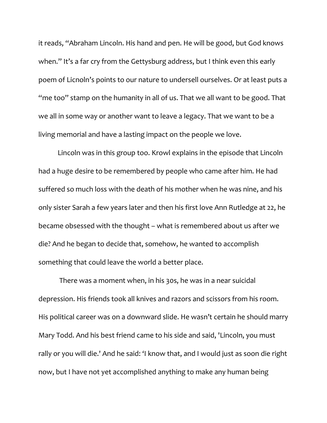it reads, "Abraham Lincoln. His hand and pen. He will be good, but God knows when." It's a far cry from the Gettysburg address, but I think even this early poem of Licnoln's points to our nature to undersell ourselves. Or at least puts a "me too" stamp on the humanity in all of us. That we all want to be good. That we all in some way or another want to leave a legacy. That we want to be a living memorial and have a lasting impact on the people we love.

Lincoln was in this group too. Krowl explains in the episode that Lincoln had a huge desire to be remembered by people who came after him. He had suffered so much loss with the death of his mother when he was nine, and his only sister Sarah a few years later and then his first love Ann Rutledge at 22, he became obsessed with the thought – what is remembered about us after we die? And he began to decide that, somehow, he wanted to accomplish something that could leave the world a better place.

There was a moment when, in his 30s, he was in a near suicidal depression. His friends took all knives and razors and scissors from his room. His political career was on a downward slide. He wasn't certain he should marry Mary Todd. And his best friend came to his side and said, 'Lincoln, you must rally or you will die.' And he said: 'I know that, and I would just as soon die right now, but I have not yet accomplished anything to make any human being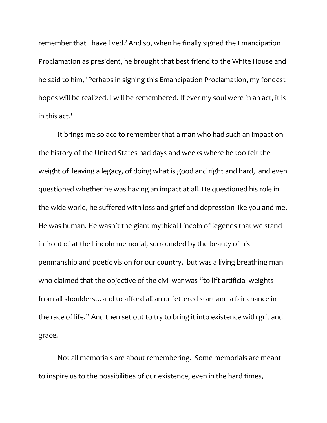remember that I have lived.' And so, when he finally signed the Emancipation Proclamation as president, he brought that best friend to the White House and he said to him, 'Perhaps in signing this Emancipation Proclamation, my fondest hopes will be realized. I will be remembered. If ever my soul were in an act, it is in this act.'

It brings me solace to remember that a man who had such an impact on the history of the United States had days and weeks where he too felt the weight of leaving a legacy, of doing what is good and right and hard, and even questioned whether he was having an impact at all. He questioned his role in the wide world, he suffered with loss and grief and depression like you and me. He was human. He wasn't the giant mythical Lincoln of legends that we stand in front of at the Lincoln memorial, surrounded by the beauty of his penmanship and poetic vision for our country, but was a living breathing man who claimed that the objective of the civil war was "to lift artificial weights from all shoulders…and to afford all an unfettered start and a fair chance in the race of life." And then set out to try to bring it into existence with grit and grace.

Not all memorials are about remembering. Some memorials are meant to inspire us to the possibilities of our existence, even in the hard times,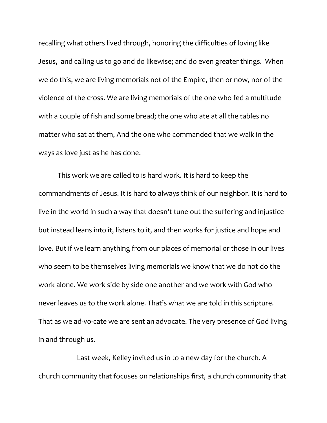recalling what others lived through, honoring the difficulties of loving like Jesus, and calling us to go and do likewise; and do even greater things. When we do this, we are living memorials not of the Empire, then or now, nor of the violence of the cross. We are living memorials of the one who fed a multitude with a couple of fish and some bread; the one who ate at all the tables no matter who sat at them, And the one who commanded that we walk in the ways as love just as he has done.

This work we are called to is hard work. It is hard to keep the commandments of Jesus. It is hard to always think of our neighbor. It is hard to live in the world in such a way that doesn't tune out the suffering and injustice but instead leans into it, listens to it, and then works for justice and hope and love. But if we learn anything from our places of memorial or those in our lives who seem to be themselves living memorials we know that we do not do the work alone. We work side by side one another and we work with God who never leaves us to the work alone. That's what we are told in this scripture. That as we ad-vo-cate we are sent an advocate. The very presence of God living in and through us.

Last week, Kelley invited us in to a new day for the church. A church community that focuses on relationships first, a church community that